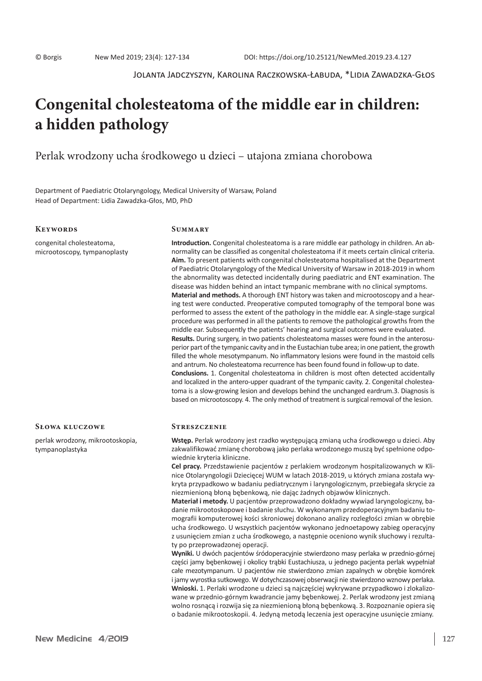Jolanta Jadczyszyn, Karolina Raczkowska-Łabuda, \*Lidia Zawadzka-Głos

# **Congenital cholesteatoma of the middle ear in children: a hidden pathology**

Perlak wrodzony ucha środkowego u dzieci – utajona zmiana chorobowa

Department of Paediatric Otolaryngology, Medical University of Warsaw, Poland Head of Department: Lidia Zawadzka-Głos, MD, PhD

## **Keywords**

congenital cholesteatoma, microotoscopy, tympanoplasty

# **Summary**

**Introduction.** Congenital cholesteatoma is a rare middle ear pathology in children. An abnormality can be classified as congenital cholesteatoma if it meets certain clinical criteria. **Aim.** To present patients with congenital cholesteatoma hospitalised at the Department of Paediatric Otolaryngology of the Medical University of Warsaw in 2018-2019 in whom the abnormality was detected incidentally during paediatric and ENT examination. The disease was hidden behind an intact tympanic membrane with no clinical symptoms. **Material and methods.** A thorough ENT history was taken and microotoscopy and a hearing test were conducted. Preoperative computed tomography of the temporal bone was performed to assess the extent of the pathology in the middle ear. A single-stage surgical procedure was performed in all the patients to remove the pathological growths from the middle ear. Subsequently the patients' hearing and surgical outcomes were evaluated. **Results.** During surgery, in two patients cholesteatoma masses were found in the anterosuperior part of the tympanic cavity and in the Eustachian tube area; in one patient, the growth filled the whole mesotympanum. No inflammatory lesions were found in the mastoid cells and antrum. No cholesteatoma recurrence has been found found in follow-up to date. **Conclusions.** 1. Congenital cholesteatoma in children is most often detected accidentally and localized in the antero-upper quadrant of the tympanic cavity. 2. Congenital cholesteatoma is a slow-growing lesion and develops behind the unchanged eardrum.3. Diagnosis is based on microotoscopy. 4. The only method of treatment is surgical removal of the lesion.

#### **Słowa kluczowe**

perlak wrodzony, mikrootoskopia, tympanoplastyka

#### **Streszczenie**

**Wstęp.** Perlak wrodzony jest rzadko występującą zmianą ucha środkowego u dzieci. Aby zakwalifikować zmianę chorobową jako perlaka wrodzonego muszą być spełnione odpowiednie kryteria kliniczne.

**Cel pracy.** Przedstawienie pacjentów z perlakiem wrodzonym hospitalizowanych w Klinice Otolaryngologii Dziecięcej WUM w latach 2018-2019, u których zmiana została wykryta przypadkowo w badaniu pediatrycznym i laryngologicznym, przebiegała skrycie za niezmienioną błoną bębenkową, nie dając żadnych objawów klinicznych.

**Materiał i metody.** U pacjentów przeprowadzono dokładny wywiad laryngologiczny, badanie mikrootoskopowe i badanie słuchu. W wykonanym przedoperacyjnym badaniu tomografii komputerowej kości skroniowej dokonano analizy rozległości zmian w obrębie ucha środkowego. U wszystkich pacjentów wykonano jednoetapowy zabieg operacyjny z usunięciem zmian z ucha środkowego, a następnie oceniono wynik słuchowy i rezultaty po przeprowadzonej operacji.

**Wyniki.** U dwóch pacjentów śródoperacyjnie stwierdzono masy perlaka w przednio-górnej części jamy bębenkowej i okolicy trąbki Eustachiusza, u jednego pacjenta perlak wypełniał całe mezotympanum. U pacjentów nie stwierdzono zmian zapalnych w obrębie komórek i jamy wyrostka sutkowego. W dotychczasowej obserwacji nie stwierdzono wznowy perlaka. **Wnioski.** 1. Perlaki wrodzone u dzieci są najczęściej wykrywane przypadkowo i zlokalizowane w przednio-górnym kwadrancie jamy bębenkowej. 2. Perlak wrodzony jest zmianą wolno rosnącą i rozwija się za niezmienioną błoną bębenkową. 3. Rozpoznanie opiera się o badanie mikrootoskopii. 4. Jedyną metodą leczenia jest operacyjne usunięcie zmiany.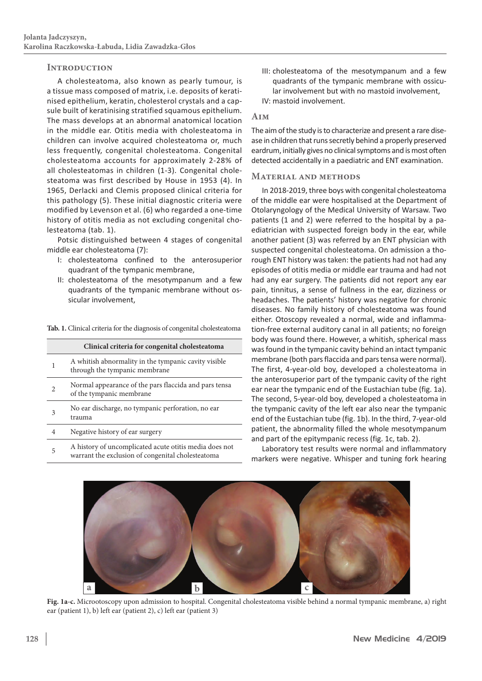# **Introduction**

A cholesteatoma, also known as pearly tumour, is a tissue mass composed of matrix, i.e. deposits of keratinised epithelium, keratin, cholesterol crystals and a capsule built of keratinising stratified squamous epithelium. The mass develops at an abnormal anatomical location in the middle ear. Otitis media with cholesteatoma in children can involve acquired cholesteatoma or, much less frequently, congenital cholesteatoma. Congenital cholesteatoma accounts for approximately 2-28% of all cholesteatomas in children (1-3). Congenital cholesteatoma was first described by House in 1953 (4). In 1965, Derlacki and Clemis proposed clinical criteria for this pathology (5). These initial diagnostic criteria were modified by Levenson et al. (6) who regarded a one-time history of otitis media as not excluding congenital cholesteatoma (tab. 1).

Potsic distinguished between 4 stages of congenital middle ear cholesteatoma (7):

- I: cholesteatoma confined to the anterosuperior quadrant of the tympanic membrane,
- II: cholesteatoma of the mesotympanum and a few quadrants of the tympanic membrane without ossicular involvement,

**Tab. 1.** Clinical criteria for the diagnosis of congenital cholesteatoma

| Clinical criteria for congenital cholesteatoma |                                                                                                             |  |  |  |
|------------------------------------------------|-------------------------------------------------------------------------------------------------------------|--|--|--|
| 1                                              | A whitish abnormality in the tympanic cavity visible<br>through the tympanic membrane                       |  |  |  |
| $\mathfrak{D}$                                 | Normal appearance of the pars flaccida and pars tensa<br>of the tympanic membrane                           |  |  |  |
| 3                                              | No ear discharge, no tympanic perforation, no ear<br>trauma                                                 |  |  |  |
| 4                                              | Negative history of ear surgery                                                                             |  |  |  |
| 5                                              | A history of uncomplicated acute otitis media does not<br>warrant the exclusion of congenital cholesteatoma |  |  |  |

- III: cholesteatoma of the mesotympanum and a few quadrants of the tympanic membrane with ossicular involvement but with no mastoid involvement,
- IV: mastoid involvement.

# **Aim**

The aim of the study is to characterize and present a rare disease in children that runs secretly behind a properly preserved eardrum, initially gives no clinical symptoms and is most often detected accidentally in a paediatric and ENT examination.

# **Material and methods**

In 2018-2019, three boys with congenital cholesteatoma of the middle ear were hospitalised at the Department of Otolaryngology of the Medical University of Warsaw. Two patients (1 and 2) were referred to the hospital by a paediatrician with suspected foreign body in the ear, while another patient (3) was referred by an ENT physician with suspected congenital cholesteatoma. On admission a thorough ENT history was taken: the patients had not had any episodes of otitis media or middle ear trauma and had not had any ear surgery. The patients did not report any ear pain, tinnitus, a sense of fullness in the ear, dizziness or headaches. The patients' history was negative for chronic diseases. No family history of cholesteatoma was found either. Otoscopy revealed a normal, wide and inflammation-free external auditory canal in all patients; no foreign body was found there. However, a whitish, spherical mass was found in the tympanic cavity behind an intact tympanic membrane (both pars flaccida and pars tensa were normal). The first, 4-year-old boy, developed a cholesteatoma in the anterosuperior part of the tympanic cavity of the right ear near the tympanic end of the Eustachian tube (fig. 1a). The second, 5-year-old boy, developed a cholesteatoma in the tympanic cavity of the left ear also near the tympanic end of the Eustachian tube (fig. 1b). In the third, 7-year-old patient, the abnormality filled the whole mesotympanum and part of the epitympanic recess (fig. 1c, tab. 2).

Laboratory test results were normal and inflammatory markers were negative. Whisper and tuning fork hearing



**Fig. 1a-c.** Microotoscopy upon admission to hospital. Congenital cholesteatoma visible behind a normal tympanic membrane, a) right ear (patient 1), b) left ear (patient 2), c) left ear (patient 3)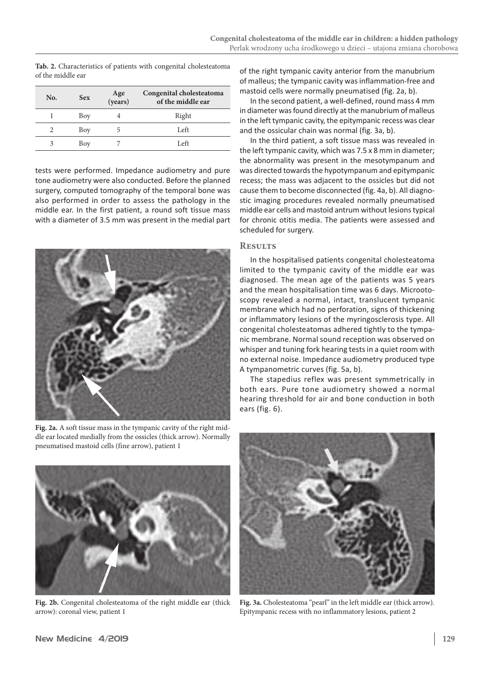| No.           | <b>Sex</b> | Age<br>(years) | Congenital cholesteatoma<br>of the middle ear |
|---------------|------------|----------------|-----------------------------------------------|
|               | Boy        |                | Right                                         |
| $\mathcal{L}$ | Boy        |                | Left                                          |
| 3             | Boy        |                | Left                                          |

**Tab. 2.** Characteristics of patients with congenital cholesteatoma of the middle ear

tests were performed. Impedance audiometry and pure tone audiometry were also conducted. Before the planned surgery, computed tomography of the temporal bone was also performed in order to assess the pathology in the middle ear. In the first patient, a round soft tissue mass with a diameter of 3.5 mm was present in the medial part



**Fig. 2a.** A soft tissue mass in the tympanic cavity of the right middle ear located medially from the ossicles (thick arrow). Normally pneumatised mastoid cells (fine arrow), patient 1



**Fig. 2b.** Congenital cholesteatoma of the right middle ear (thick arrow): coronal view, patient 1

of the right tympanic cavity anterior from the manubrium of malleus; the tympanic cavity was inflammation-free and mastoid cells were normally pneumatised (fig. 2a, b).

In the second patient, a well-defined, round mass 4 mm in diameter was found directly at the manubrium of malleus in the left tympanic cavity, the epitympanic recess was clear and the ossicular chain was normal (fig. 3a, b).

In the third patient, a soft tissue mass was revealed in the left tympanic cavity, which was 7.5 x 8 mm in diameter; the abnormality was present in the mesotympanum and was directed towards the hypotympanum and epitympanic recess; the mass was adjacent to the ossicles but did not cause them to become disconnected (fig. 4a, b). All diagnostic imaging procedures revealed normally pneumatised middle ear cells and mastoid antrum without lesions typical for chronic otitis media. The patients were assessed and scheduled for surgery.

# **Results**

In the hospitalised patients congenital cholesteatoma limited to the tympanic cavity of the middle ear was diagnosed. The mean age of the patients was 5 years and the mean hospitalisation time was 6 days. Microotoscopy revealed a normal, intact, translucent tympanic membrane which had no perforation, signs of thickening or inflammatory lesions of the myringosclerosis type. All congenital cholesteatomas adhered tightly to the tympanic membrane. Normal sound reception was observed on whisper and tuning fork hearing tests in a quiet room with no external noise. Impedance audiometry produced type A tympanometric curves (fig. 5a, b).

The stapedius reflex was present symmetrically in both ears. Pure tone audiometry showed a normal hearing threshold for air and bone conduction in both ears (fig. 6).



**Fig. 3a.** Cholesteatoma "pearl" in the left middle ear (thick arrow). Epitympanic recess with no inflammatory lesions, patient 2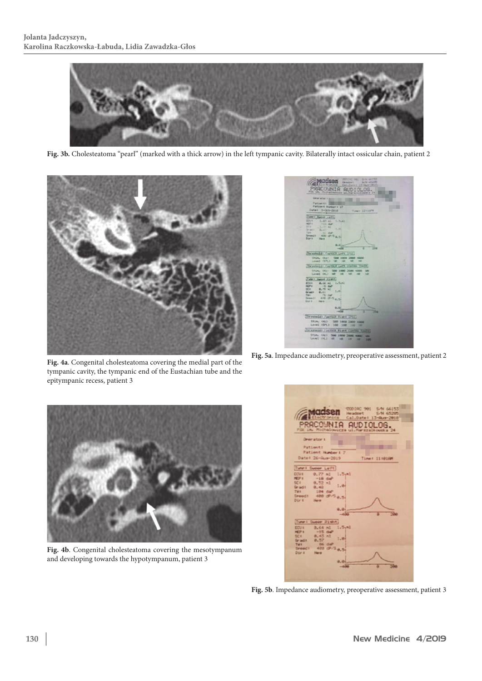

**Fig. 3b.** Cholesteatoma "pearl" (marked with a thick arrow) in the left tympanic cavity. Bilaterally intact ossicular chain, patient 2





**Fig. 5a**. Impedance audiometry, preoperative assessment, patient 2

**Fig. 4a**. Congenital cholesteatoma covering the medial part of the tympanic cavity, the tympanic end of the Eustachian tube and the epitympanic recess, patient 3



**Fig. 4b**. Congenital cholesteatoma covering the mesotympanum and developing towards the hypotympanum, patient 3



**Fig. 5b**. Impedance audiometry, preoperative assessment, patient 3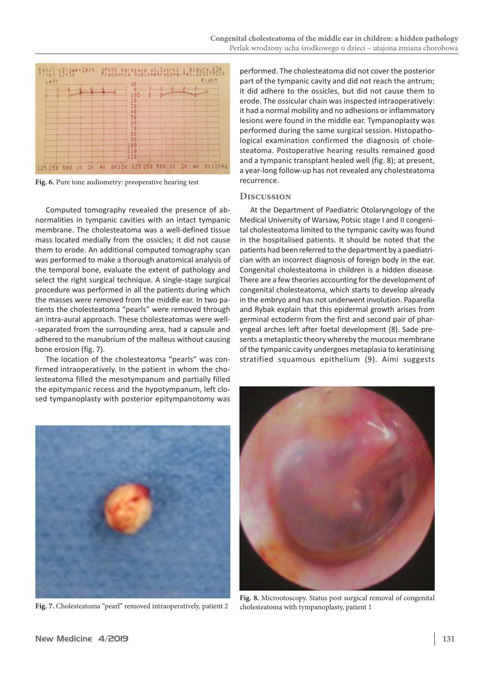

**Fig. 6.** Pure tone audiometry: preoperative hearing test

Computed tomography revealed the presence of abnormalities in tympanic cavities with an intact tympanic membrane. The cholesteatoma was a well-defined tissue mass located medially from the ossicles; it did not cause them to erode. An additional computed tomography scan was performed to make a thorough anatomical analysis of the temporal bone, evaluate the extent of pathology and select the right surgical technique. A single-stage surgical procedure was performed in all the patients during which the masses were removed from the middle ear. In two patients the cholesteatoma "pearls" were removed through an intra-aural approach. These cholesteatomas were well- -separated from the surrounding area, had a capsule and adhered to the manubrium of the malleus without causing bone erosion (fig. 7).

The location of the cholesteatoma "pearls" was confirmed intraoperatively. In the patient in whom the cholesteatoma filled the mesotympanum and partially filled the epitympanic recess and the hypotympanum, left closed tympanoplasty with posterior epitympanotomy was performed. The cholesteatoma did not cover the posterior part of the tympanic cavity and did not reach the antrum; it did adhere to the ossicles, but did not cause them to erode. The ossicular chain was inspected intraoperatively: it had a normal mobility and no adhesions or inflammatory lesions were found in the middle ear. Tympanoplasty was performed during the same surgical session. Histopathological examination confirmed the diagnosis of cholesteatoma. Postoperative hearing results remained good and a tympanic transplant healed well (fig. 8); at present, a year-long follow-up has not revealed any cholesteatoma recurrence.

# **Discussion**

At the Department of Paediatric Otolaryngology of the Medical University of Warsaw, Potsic stage I and II congenital cholesteatoma limited to the tympanic cavity was found in the hospitalised patients. It should be noted that the patients had been referred to the department by a paediatrician with an incorrect diagnosis of foreign body in the ear. Congenital cholesteatoma in children is a hidden disease. There are a few theories accounting for the development of congenital cholesteatoma, which starts to develop already in the embryo and has not underwent involution. Paparella and Rybak explain that this epidermal growth arises from germinal ectoderm from the first and second pair of pharyngeal arches left after foetal development (8). Sade presents a metaplastic theory whereby the mucous membrane of the tympanic cavity undergoes metaplasia to keratinising stratified squamous epithelium (9). Aimi suggests



**Fig. 7.** Cholesteatoma "pearl" removed intraoperatively, patient 2



**Fig. 8.** Microotoscopy. Status post surgical removal of congenital cholesteatoma with tympanoplasty, patient 1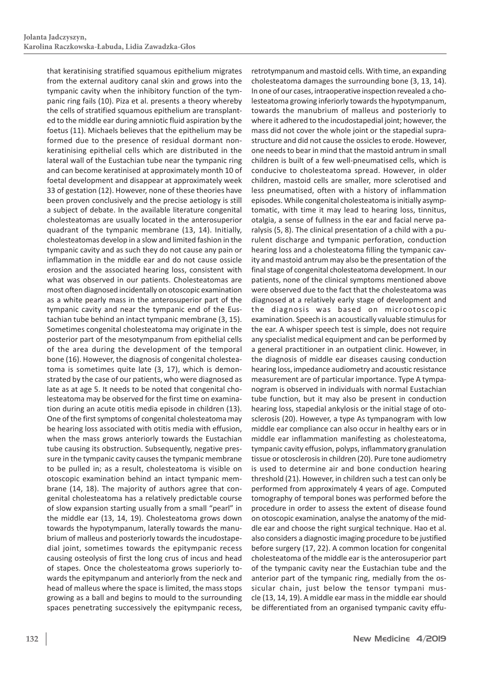that keratinising stratified squamous epithelium migrates from the external auditory canal skin and grows into the tympanic cavity when the inhibitory function of the tympanic ring fails (10). Piza et al. presents a theory whereby the cells of stratified squamous epithelium are transplanted to the middle ear during amniotic fluid aspiration by the foetus (11). Michaels believes that the epithelium may be formed due to the presence of residual dormant nonkeratinising epithelial cells which are distributed in the lateral wall of the Eustachian tube near the tympanic ring and can become keratinised at approximately month 10 of foetal development and disappear at approximately week 33 of gestation (12). However, none of these theories have been proven conclusively and the precise aetiology is still a subject of debate. In the available literature congenital cholesteatomas are usually located in the anterosuperior quadrant of the tympanic membrane (13, 14). Initially, cholesteatomas develop in a slow and limited fashion in the tympanic cavity and as such they do not cause any pain or inflammation in the middle ear and do not cause ossicle erosion and the associated hearing loss, consistent with what was observed in our patients. Cholesteatomas are most often diagnosed incidentally on otoscopic examination as a white pearly mass in the anterosuperior part of the tympanic cavity and near the tympanic end of the Eustachian tube behind an intact tympanic membrane (3, 15). Sometimes congenital cholesteatoma may originate in the posterior part of the mesotympanum from epithelial cells of the area during the development of the temporal bone (16). However, the diagnosis of congenital cholesteatoma is sometimes quite late (3, 17), which is demonstrated by the case of our patients, who were diagnosed as late as at age 5. It needs to be noted that congenital cholesteatoma may be observed for the first time on examination during an acute otitis media episode in children (13). One of the first symptoms of congenital cholesteatoma may be hearing loss associated with otitis media with effusion, when the mass grows anteriorly towards the Eustachian tube causing its obstruction. Subsequently, negative pressure in the tympanic cavity causes the tympanic membrane to be pulled in; as a result, cholesteatoma is visible on otoscopic examination behind an intact tympanic membrane (14, 18). The majority of authors agree that congenital cholesteatoma has a relatively predictable course of slow expansion starting usually from a small "pearl" in the middle ear (13, 14, 19). Cholesteatoma grows down towards the hypotympanum, laterally towards the manubrium of malleus and posteriorly towards the incudostapedial joint, sometimes towards the epitympanic recess causing osteolysis of first the long crus of incus and head of stapes. Once the cholesteatoma grows superiorly towards the epitympanum and anteriorly from the neck and head of malleus where the space is limited, the mass stops growing as a ball and begins to mould to the surrounding spaces penetrating successively the epitympanic recess,

retrotympanum and mastoid cells. With time, an expanding cholesteatoma damages the surrounding bone (3, 13, 14). In one of our cases, intraoperative inspection revealed a cholesteatoma growing inferiorly towards the hypotympanum, towards the manubrium of malleus and posteriorly to where it adhered to the incudostapedial joint; however, the mass did not cover the whole joint or the stapedial suprastructure and did not cause the ossicles to erode. However, one needs to bear in mind that the mastoid antrum in small children is built of a few well-pneumatised cells, which is conducive to cholesteatoma spread. However, in older children, mastoid cells are smaller, more sclerotised and less pneumatised, often with a history of inflammation episodes. While congenital cholesteatoma is initially asymptomatic, with time it may lead to hearing loss, tinnitus, otalgia, a sense of fullness in the ear and facial nerve paralysis (5, 8). The clinical presentation of a child with a purulent discharge and tympanic perforation, conduction hearing loss and a cholesteatoma filling the tympanic cavity and mastoid antrum may also be the presentation of the final stage of congenital cholesteatoma development. In our patients, none of the clinical symptoms mentioned above were observed due to the fact that the cholesteatoma was diagnosed at a relatively early stage of development and the diagnosis was based on microotoscopic examination. Speech is an acoustically valuable stimulus for the ear. A whisper speech test is simple, does not require any specialist medical equipment and can be performed by a general practitioner in an outpatient clinic. However, in the diagnosis of middle ear diseases causing conduction hearing loss, impedance audiometry and acoustic resistance measurement are of particular importance. Type A tympanogram is observed in individuals with normal Eustachian tube function, but it may also be present in conduction hearing loss, stapedial ankylosis or the initial stage of otosclerosis (20). However, a type As tympanogram with low middle ear compliance can also occur in healthy ears or in middle ear inflammation manifesting as cholesteatoma, tympanic cavity effusion, polyps, inflammatory granulation tissue or otosclerosis in children (20). Pure tone audiometry is used to determine air and bone conduction hearing threshold (21). However, in children such a test can only be performed from approximately 4 years of age. Computed tomography of temporal bones was performed before the procedure in order to assess the extent of disease found on otoscopic examination, analyse the anatomy of the middle ear and choose the right surgical technique. Hao et al. also considers a diagnostic imaging procedure to be justified before surgery (17, 22). A common location for congenital cholesteatoma of the middle ear is the anterosuperior part of the tympanic cavity near the Eustachian tube and the anterior part of the tympanic ring, medially from the ossicular chain, just below the tensor tympani muscle (13, 14, 19). A middle ear mass in the middle ear should be differentiated from an organised tympanic cavity effu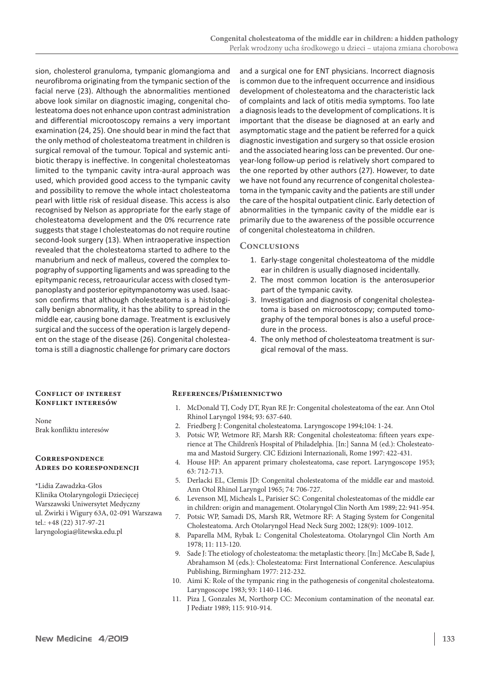sion, cholesterol granuloma, tympanic glomangioma and neurofibroma originating from the tympanic section of the facial nerve (23). Although the abnormalities mentioned above look similar on diagnostic imaging, congenital cholesteatoma does not enhance upon contrast administration and differential microotoscopy remains a very important examination (24, 25). One should bear in mind the fact that the only method of cholesteatoma treatment in children is surgical removal of the tumour. Topical and systemic antibiotic therapy is ineffective. In congenital cholesteatomas limited to the tympanic cavity intra-aural approach was used, which provided good access to the tympanic cavity and possibility to remove the whole intact cholesteatoma pearl with little risk of residual disease. This access is also recognised by Nelson as appropriate for the early stage of cholesteatoma development and the 0% recurrence rate suggests that stage I cholesteatomas do not require routine second-look surgery (13). When intraoperative inspection revealed that the cholesteatoma started to adhere to the manubrium and neck of malleus, covered the complex topography of supporting ligaments and was spreading to the epitympanic recess, retroauricular access with closed tympanoplasty and posterior epitympanotomy was used. Isaacson confirms that although cholesteatoma is a histologically benign abnormality, it has the ability to spread in the middle ear, causing bone damage. Treatment is exclusively surgical and the success of the operation is largely dependent on the stage of the disease (26). Congenital cholesteatoma is still a diagnostic challenge for primary care doctors

and a surgical one for ENT physicians. Incorrect diagnosis is common due to the infrequent occurrence and insidious development of cholesteatoma and the characteristic lack of complaints and lack of otitis media symptoms. Too late a diagnosis leads to the development of complications. It is important that the disease be diagnosed at an early and asymptomatic stage and the patient be referred for a quick diagnostic investigation and surgery so that ossicle erosion and the associated hearing loss can be prevented. Our oneyear-long follow-up period is relatively short compared to the one reported by other authors (27). However, to date we have not found any recurrence of congenital cholesteatoma in the tympanic cavity and the patients are still under the care of the hospital outpatient clinic. Early detection of abnormalities in the tympanic cavity of the middle ear is primarily due to the awareness of the possible occurrence of congenital cholesteatoma in children.

#### **Conclusions**

- 1. Early-stage congenital cholesteatoma of the middle ear in children is usually diagnosed incidentally.
- 2. The most common location is the anterosuperior part of the tympanic cavity.
- 3. Investigation and diagnosis of congenital cholesteatoma is based on microotoscopy; computed tomography of the temporal bones is also a useful procedure in the process.
- 4. The only method of cholesteatoma treatment is surgical removal of the mass.

### **Conflict of interest Konflikt interesów**

None Brak konfliktu interesów

#### **Correspondence Adres do korespondencji**

\*Lidia Zawadzka-Głos Klinika Otolaryngologii Dziecięcej Warszawski Uniwersytet Medyczny ul. Żwirki i Wigury 63A, 02-091 Warszawa tel.: +48 (22) 317-97-21 laryngologia@litewska.edu.pl

#### **References/Piśmiennictwo**

- 1. McDonald TJ, Cody DT, Ryan RE Jr: Congenital cholesteatoma of the ear. Ann Otol Rhinol Laryngol 1984; 93: 637-640.
- 2. Friedberg J: Congenital cholesteatoma. Laryngoscope 1994;104: 1-24.
- 3. Potsic WP, Wetmore RF, Marsh RR: Congenital cholesteatoma: fifteen years experience at The Children's Hospital of Philadelphia. [In:] Sanna M (ed.): Cholesteatoma and Mastoid Surgery. CIC Edizioni Internazionali, Rome 1997: 422-431.
- 4. House HP: An apparent primary cholesteatoma, case report. Laryngoscope 1953; 63: 712-713.
- 5. Derlacki EL, Clemis JD: Congenital cholesteatoma of the middle ear and mastoid. Ann Otol Rhinol Laryngol 1965; 74: 706-727.
- 6. Levenson MJ, Micheals L, Parisier SC: Congenital cholesteatomas of the middle ear in children: origin and management. Otolaryngol Clin North Am 1989; 22: 941-954.
- 7. Potsic WP, Samadi DS, Marsh RR, Wetmore RF: A Staging System for Congenital Cholesteatoma. Arch Otolaryngol Head Neck Surg 2002; 128(9): 1009-1012.
- 8. Paparella MM, Rybak L: Congenital Cholesteatoma. Otolaryngol Clin North Am 1978; 11: 113-120.
- 9. Sade J: The etiology of cholesteatoma: the metaplastic theory. [In:] McCabe B, Sade J, Abrahamson M (eds.): Cholesteatoma: First International Conference. Aesculapius Publishing, Birmingham 1977: 212-232.
- 10. Aimi K: Role of the tympanic ring in the pathogenesis of congenital cholesteatoma. Laryngoscope 1983; 93: 1140-1146.
- 11. Piza J, Gonzales M, Northorp CC: Meconium contamination of the neonatal ear. J Pediatr 1989; 115: 910-914.